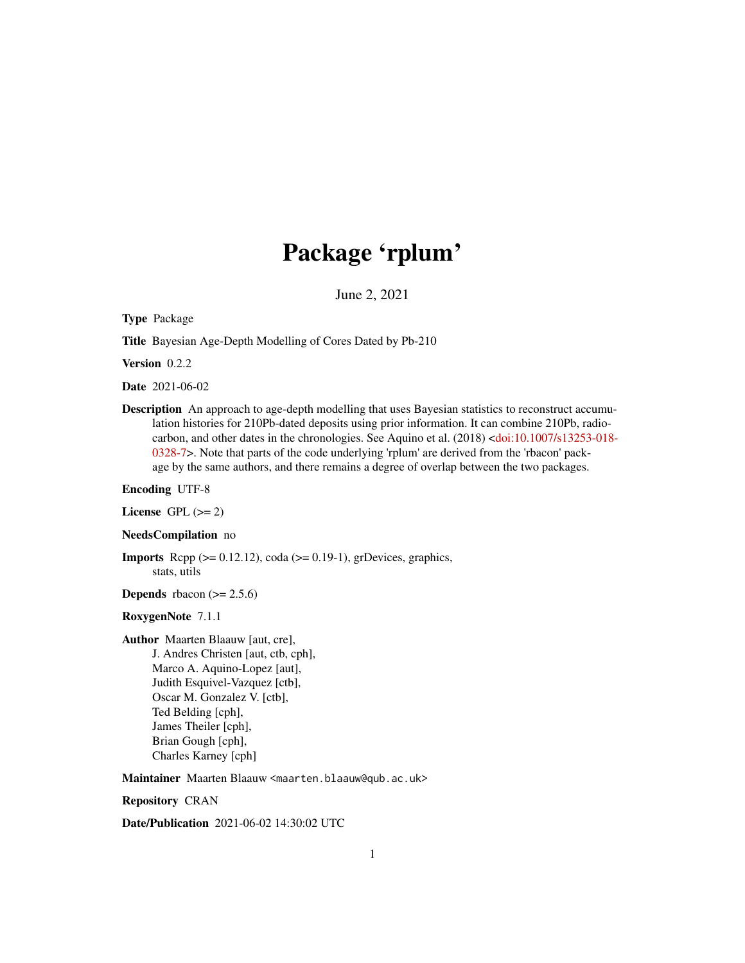## Package 'rplum'

June 2, 2021

<span id="page-0-0"></span>Type Package

Title Bayesian Age-Depth Modelling of Cores Dated by Pb-210

Version 0.2.2

Date 2021-06-02

Description An approach to age-depth modelling that uses Bayesian statistics to reconstruct accumulation histories for 210Pb-dated deposits using prior information. It can combine 210Pb, radiocarbon, and other dates in the chronologies. See Aquino et al. (2018) [<doi:10.1007/s13253-018-](https://doi.org/10.1007/s13253-018-0328-7) [0328-7>](https://doi.org/10.1007/s13253-018-0328-7). Note that parts of the code underlying 'rplum' are derived from the 'rbacon' package by the same authors, and there remains a degree of overlap between the two packages.

Encoding UTF-8

License GPL  $(>= 2)$ 

NeedsCompilation no

**Imports** Rcpp  $(>= 0.12.12)$ , coda  $(>= 0.19-1)$ , grDevices, graphics, stats, utils

**Depends** rbacon  $(>= 2.5.6)$ 

#### RoxygenNote 7.1.1

Author Maarten Blaauw [aut, cre],

J. Andres Christen [aut, ctb, cph], Marco A. Aquino-Lopez [aut], Judith Esquivel-Vazquez [ctb], Oscar M. Gonzalez V. [ctb], Ted Belding [cph], James Theiler [cph], Brian Gough [cph], Charles Karney [cph]

Maintainer Maarten Blaauw <maarten.blaauw@qub.ac.uk>

Repository CRAN

Date/Publication 2021-06-02 14:30:02 UTC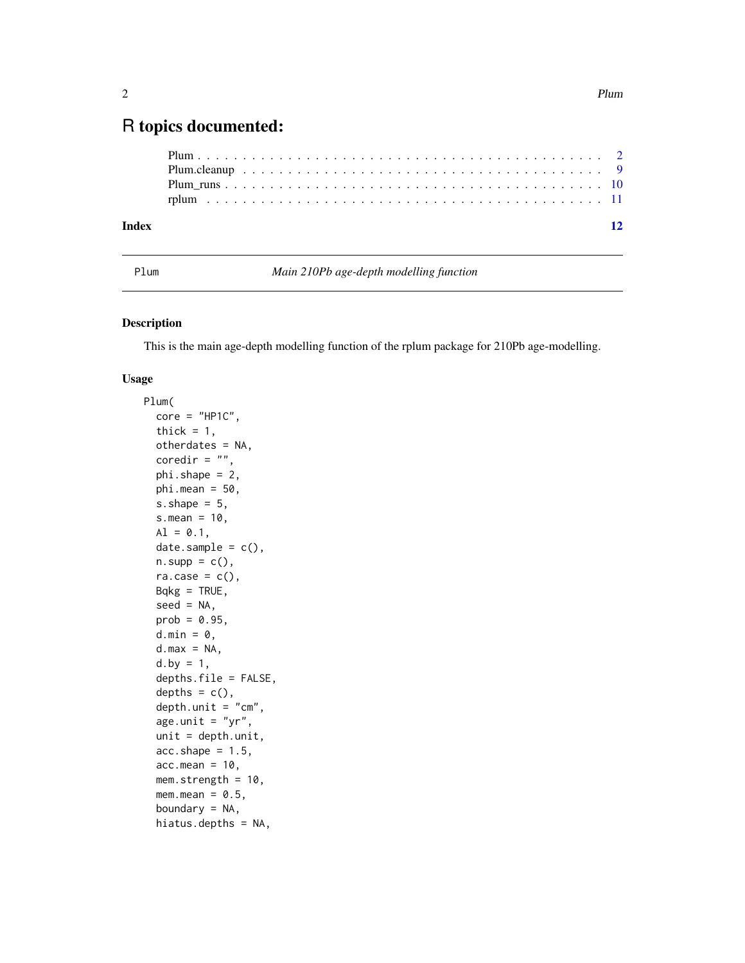### <span id="page-1-0"></span>R topics documented:

| Index |  |  |  |  |  |  |  |  |  |  |  |  |  |  |  |  |  |  |  | $\overline{12}$ |
|-------|--|--|--|--|--|--|--|--|--|--|--|--|--|--|--|--|--|--|--|-----------------|
|       |  |  |  |  |  |  |  |  |  |  |  |  |  |  |  |  |  |  |  |                 |
|       |  |  |  |  |  |  |  |  |  |  |  |  |  |  |  |  |  |  |  |                 |
|       |  |  |  |  |  |  |  |  |  |  |  |  |  |  |  |  |  |  |  |                 |
|       |  |  |  |  |  |  |  |  |  |  |  |  |  |  |  |  |  |  |  |                 |

Plum *Main 210Pb age-depth modelling function*

#### Description

This is the main age-depth modelling function of the rplum package for 210Pb age-modelling.

#### Usage

```
Plum(
  core = "HPIC",thick = 1,
  otherdates = NA,
  coredir = ",
  phi.shape = 2,
 phi.mean = 50,
  s.shape = 5,
  s.mean = 10,
 AI = 0.1,
  date.sample = c(),
  n.\text{supp} = c(),
  ra.case = c(),
 Bqkg = TRUE,seed = NA,
 prob = 0.95,
  d.min = 0,d.max = NA,
  d. by = 1,
  depths.file = FALSE,
  depths = c(),
  depth.unit = "cm",
  age.unit = "yr",unit = depth.unit,
  acc.shape = 1.5,
  acc_mean = 10,
 mem.strength = 10,
 mem.mean = 0.5,
  boundary = NA,
  hiatus.depths = NA,
```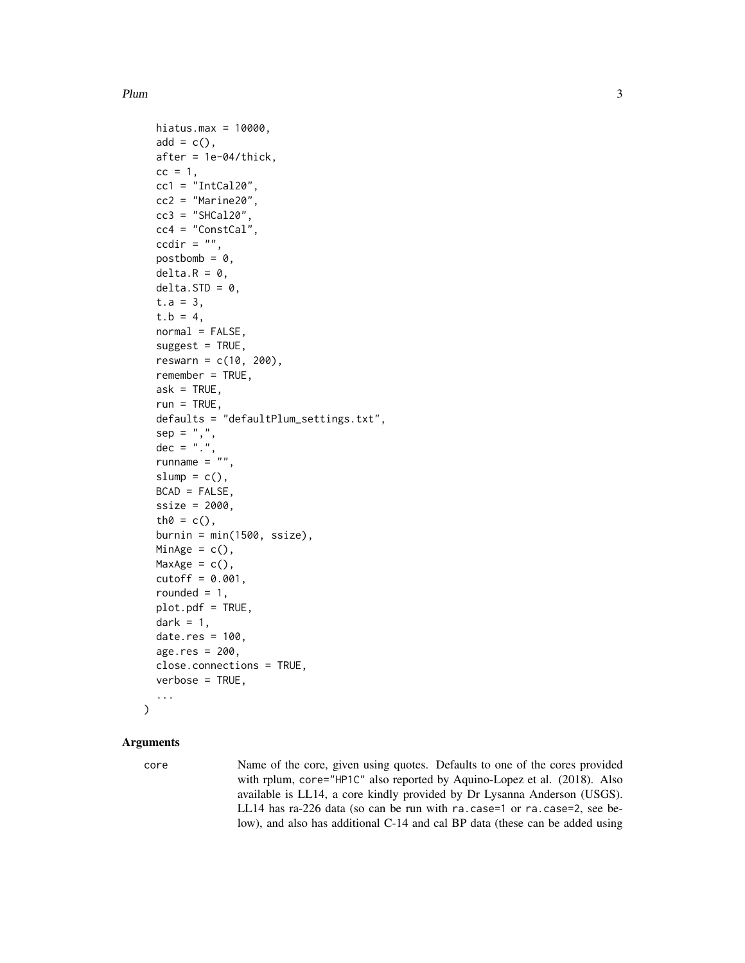```
hiatus.max = 10000,
add = c(),
after = 1e-04/thick,
cc = 1,
cc1 = "IntCal20",cc2 = "Marine20",cc3 = "SHCal20",cc4 = "ConstCal",ccdir = ",
postbomb = 0,
delta.R = 0,
delta.STD = 0,
t.a = 3,t.b = 4,normal = FALSE,suggest = TRUE,
reswarn = c(10, 200),remember = TRUE,
ask = TRUE,run = TRUE,
defaults = "defaultPlum_settings.txt",
sep = ","dec = "."runname = "slump = c(),
BCAD = FALSE,ssize = 2000,
th0 = c(),
burnin = min(1500, ssize),MinAge = c(),
MaxAge = c(),
cutoff = 0.001,rounded = 1,
plot.pdf = TRUE,
dark = 1,
date.res = 100,
age.res = 200.
close.connections = TRUE,
verbose = TRUE,
...
```
#### Arguments

 $\mathcal{L}$ 

core Name of the core, given using quotes. Defaults to one of the cores provided with rplum, core="HP1C" also reported by Aquino-Lopez et al. (2018). Also available is LL14, a core kindly provided by Dr Lysanna Anderson (USGS). LL14 has ra-226 data (so can be run with ra.case=1 or ra.case=2, see below), and also has additional C-14 and cal BP data (these can be added using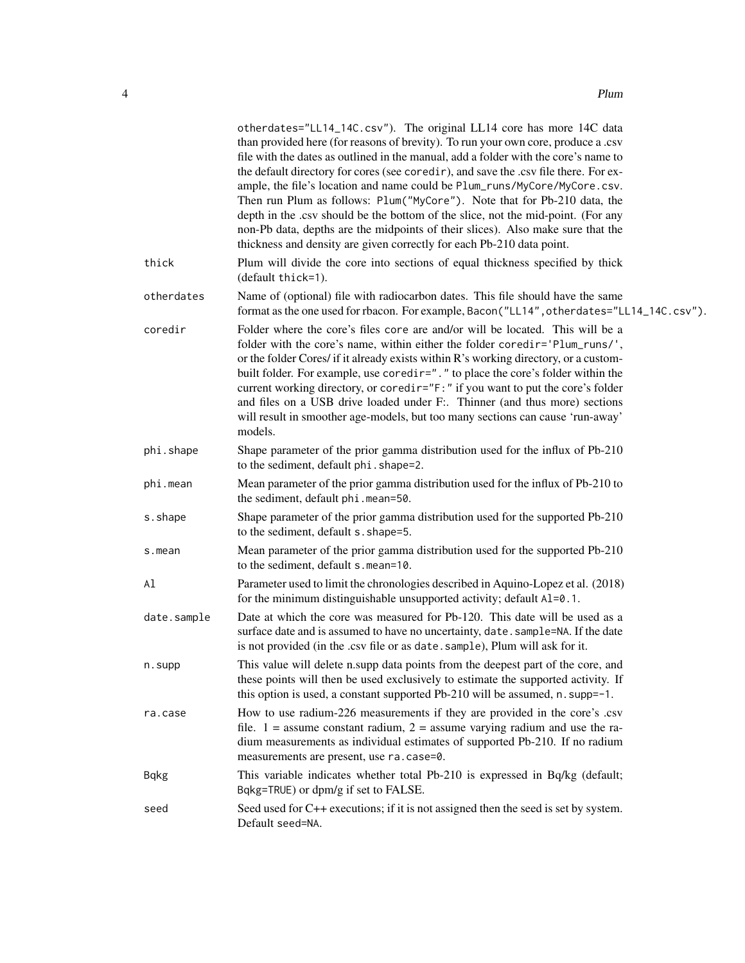|             | otherdates="LL14_14C.csv"). The original LL14 core has more 14C data<br>than provided here (for reasons of brevity). To run your own core, produce a .csv<br>file with the dates as outlined in the manual, add a folder with the core's name to<br>the default directory for cores (see coredir), and save the .csv file there. For ex-<br>ample, the file's location and name could be Plum_runs/MyCore/MyCore.csv.<br>Then run Plum as follows: Plum("MyCore"). Note that for Pb-210 data, the<br>depth in the .csv should be the bottom of the slice, not the mid-point. (For any<br>non-Pb data, depths are the midpoints of their slices). Also make sure that the<br>thickness and density are given correctly for each Pb-210 data point. |
|-------------|---------------------------------------------------------------------------------------------------------------------------------------------------------------------------------------------------------------------------------------------------------------------------------------------------------------------------------------------------------------------------------------------------------------------------------------------------------------------------------------------------------------------------------------------------------------------------------------------------------------------------------------------------------------------------------------------------------------------------------------------------|
| thick       | Plum will divide the core into sections of equal thickness specified by thick<br>(default thick=1).                                                                                                                                                                                                                                                                                                                                                                                                                                                                                                                                                                                                                                               |
| otherdates  | Name of (optional) file with radiocarbon dates. This file should have the same<br>format as the one used for rbacon. For example, Bacon ("LL14", otherdates="LL14_14C.csv").                                                                                                                                                                                                                                                                                                                                                                                                                                                                                                                                                                      |
| coredir     | Folder where the core's files core are and/or will be located. This will be a<br>folder with the core's name, within either the folder coredir='Plum_runs/',<br>or the folder Cores/ if it already exists within R's working directory, or a custom-<br>built folder. For example, use coredir="." to place the core's folder within the<br>current working directory, or coredir="F:" if you want to put the core's folder<br>and files on a USB drive loaded under F:. Thinner (and thus more) sections<br>will result in smoother age-models, but too many sections can cause 'run-away'<br>models.                                                                                                                                            |
| phi.shape   | Shape parameter of the prior gamma distribution used for the influx of Pb-210<br>to the sediment, default phi. shape=2.                                                                                                                                                                                                                                                                                                                                                                                                                                                                                                                                                                                                                           |
| phi.mean    | Mean parameter of the prior gamma distribution used for the influx of Pb-210 to<br>the sediment, default phi.mean=50.                                                                                                                                                                                                                                                                                                                                                                                                                                                                                                                                                                                                                             |
| s.shape     | Shape parameter of the prior gamma distribution used for the supported Pb-210<br>to the sediment, default s. shape=5.                                                                                                                                                                                                                                                                                                                                                                                                                                                                                                                                                                                                                             |
| s.mean      | Mean parameter of the prior gamma distribution used for the supported Pb-210<br>to the sediment, default s.mean=10.                                                                                                                                                                                                                                                                                                                                                                                                                                                                                                                                                                                                                               |
| Al          | Parameter used to limit the chronologies described in Aquino-Lopez et al. (2018)<br>for the minimum distinguishable unsupported activity; default A1=0.1.                                                                                                                                                                                                                                                                                                                                                                                                                                                                                                                                                                                         |
| date.sample | Date at which the core was measured for Pb-120. This date will be used as a<br>surface date and is assumed to have no uncertainty, date. sample=NA. If the date<br>is not provided (in the .csv file or as date. sample), Plum will ask for it.                                                                                                                                                                                                                                                                                                                                                                                                                                                                                                   |
| n.supp      | This value will delete n.supp data points from the deepest part of the core, and<br>these points will then be used exclusively to estimate the supported activity. If<br>this option is used, a constant supported Pb-210 will be assumed, n. supp=-1.                                                                                                                                                                                                                                                                                                                                                                                                                                                                                            |
| ra.case     | How to use radium-226 measurements if they are provided in the core's .csv<br>file. $1 =$ assume constant radium, $2 =$ assume varying radium and use the ra-<br>dium measurements as individual estimates of supported Pb-210. If no radium<br>measurements are present, use ra.case=0.                                                                                                                                                                                                                                                                                                                                                                                                                                                          |
| <b>Bqkg</b> | This variable indicates whether total Pb-210 is expressed in Bq/kg (default;<br>Bqkg=TRUE) or dpm/g if set to FALSE.                                                                                                                                                                                                                                                                                                                                                                                                                                                                                                                                                                                                                              |
| seed        | Seed used for C++ executions; if it is not assigned then the seed is set by system.<br>Default seed=NA.                                                                                                                                                                                                                                                                                                                                                                                                                                                                                                                                                                                                                                           |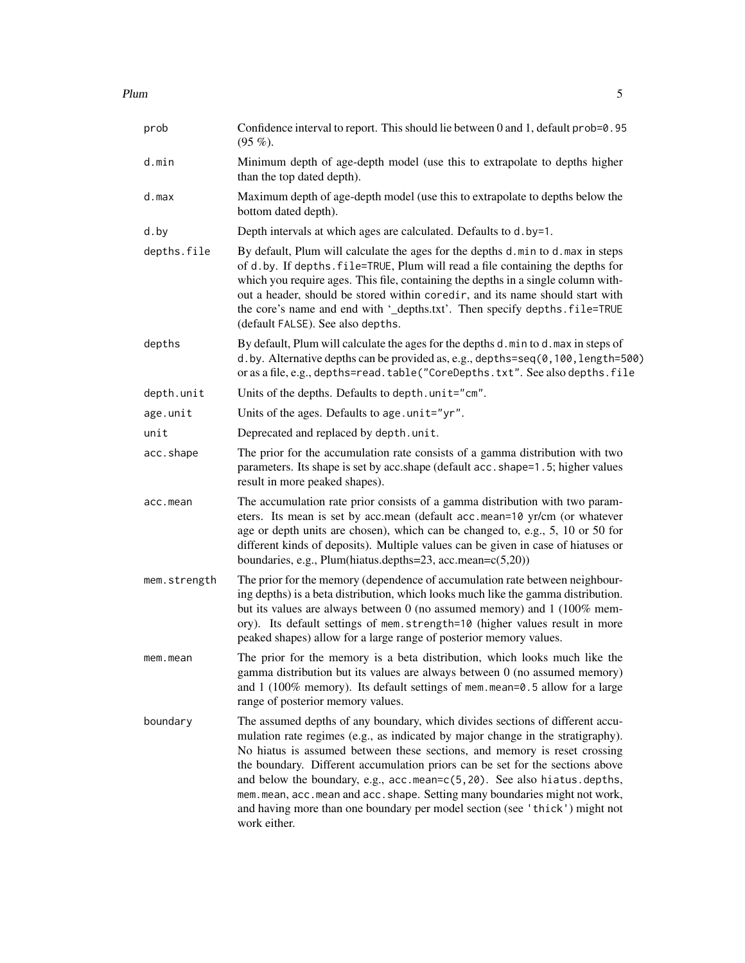| prob         | Confidence interval to report. This should lie between 0 and 1, default prob=0.95<br>$(95\%).$                                                                                                                                                                                                                                                                                                                                                                                                                                                                                           |
|--------------|------------------------------------------------------------------------------------------------------------------------------------------------------------------------------------------------------------------------------------------------------------------------------------------------------------------------------------------------------------------------------------------------------------------------------------------------------------------------------------------------------------------------------------------------------------------------------------------|
| d.min        | Minimum depth of age-depth model (use this to extrapolate to depths higher<br>than the top dated depth).                                                                                                                                                                                                                                                                                                                                                                                                                                                                                 |
| d.max        | Maximum depth of age-depth model (use this to extrapolate to depths below the<br>bottom dated depth).                                                                                                                                                                                                                                                                                                                                                                                                                                                                                    |
| d.by         | Depth intervals at which ages are calculated. Defaults to d.by=1.                                                                                                                                                                                                                                                                                                                                                                                                                                                                                                                        |
| depths.file  | By default, Plum will calculate the ages for the depths d.min to d.max in steps<br>of d.by. If depths. file=TRUE, Plum will read a file containing the depths for<br>which you require ages. This file, containing the depths in a single column with-<br>out a header, should be stored within coredir, and its name should start with<br>the core's name and end with '_depths.txt'. Then specify depths.file=TRUE<br>(default FALSE). See also depths.                                                                                                                                |
| depths       | By default, Plum will calculate the ages for the depths d.min to d.max in steps of<br>d.by. Alternative depths can be provided as, e.g., depths=seq(0,100, length=500)<br>or as a file, e.g., depths=read.table("CoreDepths.txt". See also depths.file                                                                                                                                                                                                                                                                                                                                   |
| depth.unit   | Units of the depths. Defaults to depth.unit="cm".                                                                                                                                                                                                                                                                                                                                                                                                                                                                                                                                        |
| age.unit     | Units of the ages. Defaults to age.unit="yr".                                                                                                                                                                                                                                                                                                                                                                                                                                                                                                                                            |
| unit         | Deprecated and replaced by depth.unit.                                                                                                                                                                                                                                                                                                                                                                                                                                                                                                                                                   |
| acc.shape    | The prior for the accumulation rate consists of a gamma distribution with two<br>parameters. Its shape is set by acc.shape (default acc.shape=1.5; higher values<br>result in more peaked shapes).                                                                                                                                                                                                                                                                                                                                                                                       |
| acc.mean     | The accumulation rate prior consists of a gamma distribution with two param-<br>eters. Its mean is set by acc.mean (default acc.mean=10 yr/cm (or whatever<br>age or depth units are chosen), which can be changed to, e.g., 5, 10 or 50 for<br>different kinds of deposits). Multiple values can be given in case of hiatuses or<br>boundaries, e.g., Plum(hiatus.depths=23, acc.mean=c(5,20))                                                                                                                                                                                          |
| mem.strength | The prior for the memory (dependence of accumulation rate between neighbour-<br>ing depths) is a beta distribution, which looks much like the gamma distribution.<br>but its values are always between $0$ (no assumed memory) and $1$ (100% mem-<br>ory). Its default settings of mem.strength=10 (higher values result in more<br>peaked shapes) allow for a large range of posterior memory values.                                                                                                                                                                                   |
| mem.mean     | The prior for the memory is a beta distribution, which looks much like the<br>gamma distribution but its values are always between 0 (no assumed memory)<br>and $1$ (100% memory). Its default settings of mem. mean=0.5 allow for a large<br>range of posterior memory values.                                                                                                                                                                                                                                                                                                          |
| boundary     | The assumed depths of any boundary, which divides sections of different accu-<br>mulation rate regimes (e.g., as indicated by major change in the stratigraphy).<br>No hiatus is assumed between these sections, and memory is reset crossing<br>the boundary. Different accumulation priors can be set for the sections above<br>and below the boundary, e.g., acc.mean=c(5,20). See also hiatus.depths,<br>mem. mean, acc. mean and acc. shape. Setting many boundaries might not work,<br>and having more than one boundary per model section (see 'thick') might not<br>work either. |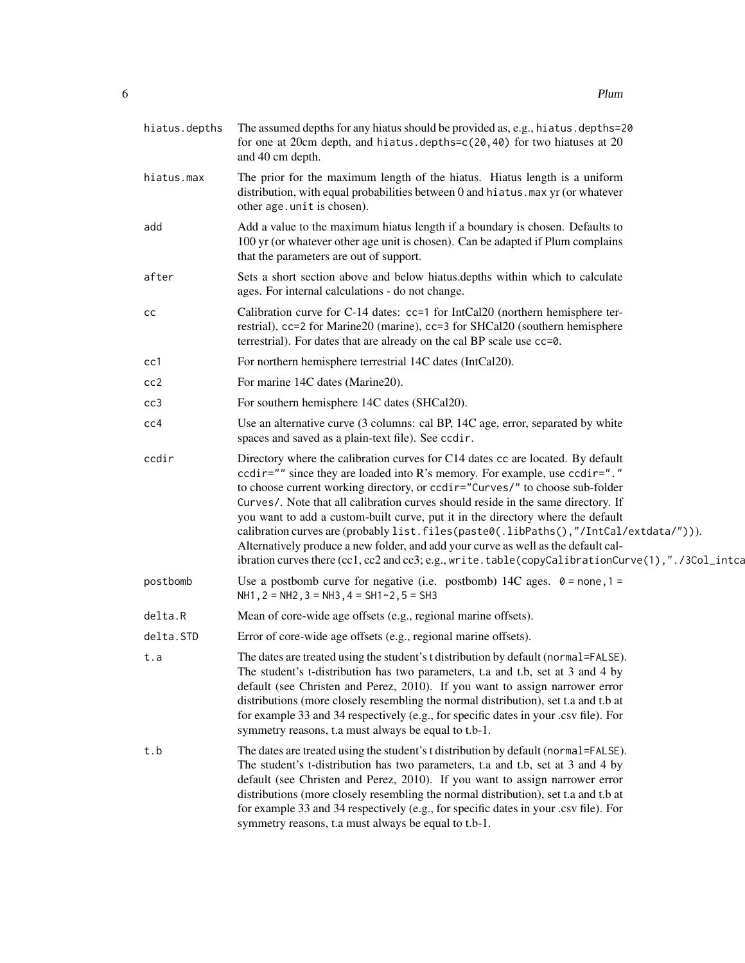| hiatus.depths | The assumed depths for any hiatus should be provided as, e.g., hiatus.depths=20<br>for one at 20cm depth, and hiatus.depths= $c(20, 40)$ for two hiatuses at 20<br>and 40 cm depth.                                                                                                                                                                                                                                                                                                                                                                                                                                                                                                                      |
|---------------|----------------------------------------------------------------------------------------------------------------------------------------------------------------------------------------------------------------------------------------------------------------------------------------------------------------------------------------------------------------------------------------------------------------------------------------------------------------------------------------------------------------------------------------------------------------------------------------------------------------------------------------------------------------------------------------------------------|
| hiatus.max    | The prior for the maximum length of the hiatus. Hiatus length is a uniform<br>distribution, with equal probabilities between 0 and hiatus. max yr (or whatever<br>other age.unit is chosen).                                                                                                                                                                                                                                                                                                                                                                                                                                                                                                             |
| add           | Add a value to the maximum hiatus length if a boundary is chosen. Defaults to<br>100 yr (or whatever other age unit is chosen). Can be adapted if Plum complains<br>that the parameters are out of support.                                                                                                                                                                                                                                                                                                                                                                                                                                                                                              |
| after         | Sets a short section above and below hiatus.depths within which to calculate<br>ages. For internal calculations - do not change.                                                                                                                                                                                                                                                                                                                                                                                                                                                                                                                                                                         |
| СC            | Calibration curve for C-14 dates: cc=1 for IntCal20 (northern hemisphere ter-<br>restrial), cc=2 for Marine20 (marine), cc=3 for SHCal20 (southern hemisphere<br>terrestrial). For dates that are already on the cal BP scale use cc=0.                                                                                                                                                                                                                                                                                                                                                                                                                                                                  |
| cc1           | For northern hemisphere terrestrial 14C dates (IntCal20).                                                                                                                                                                                                                                                                                                                                                                                                                                                                                                                                                                                                                                                |
| cc2           | For marine 14C dates (Marine20).                                                                                                                                                                                                                                                                                                                                                                                                                                                                                                                                                                                                                                                                         |
| cc3           | For southern hemisphere 14C dates (SHCal20).                                                                                                                                                                                                                                                                                                                                                                                                                                                                                                                                                                                                                                                             |
| cc4           | Use an alternative curve (3 columns: cal BP, 14C age, error, separated by white<br>spaces and saved as a plain-text file). See ccdir.                                                                                                                                                                                                                                                                                                                                                                                                                                                                                                                                                                    |
| ccdir         | Directory where the calibration curves for C14 dates cc are located. By default<br>ccdir="" since they are loaded into R's memory. For example, use ccdir="."<br>to choose current working directory, or ccdir="Curves/" to choose sub-folder<br>Curves/. Note that all calibration curves should reside in the same directory. If<br>you want to add a custom-built curve, put it in the directory where the default<br>calibration curves are (probably list.files(paste0(.libPaths(),"/IntCal/extdata/"))).<br>Alternatively produce a new folder, and add your curve as well as the default cal-<br>ibration curves there (cc1, cc2 and cc3; e.g., write.table(copyCalibrationCurve(1),"./3Col_intca |
| postbomb      | Use a postbomb curve for negative (i.e. postbomb) 14C ages. $0 = none, 1 =$<br>NH1, $2 = NH2$ , $3 = NH3$ , $4 = SH1-2$ , $5 = SH3$                                                                                                                                                                                                                                                                                                                                                                                                                                                                                                                                                                      |
| delta.R       | Mean of core-wide age offsets (e.g., regional marine offsets).                                                                                                                                                                                                                                                                                                                                                                                                                                                                                                                                                                                                                                           |
| delta.STD     | Error of core-wide age offsets (e.g., regional marine offsets).                                                                                                                                                                                                                                                                                                                                                                                                                                                                                                                                                                                                                                          |
| t.a           | The dates are treated using the student's t distribution by default (normal=FALSE).<br>The student's t-distribution has two parameters, t.a and t.b, set at 3 and 4 by<br>default (see Christen and Perez, 2010). If you want to assign narrower error<br>distributions (more closely resembling the normal distribution), set t.a and t.b at<br>for example 33 and 34 respectively (e.g., for specific dates in your .csv file). For<br>symmetry reasons, t.a must always be equal to t.b-1.                                                                                                                                                                                                            |
| t.b           | The dates are treated using the student's t distribution by default (normal=FALSE).<br>The student's t-distribution has two parameters, t.a and t.b, set at 3 and 4 by<br>default (see Christen and Perez, 2010). If you want to assign narrower error<br>distributions (more closely resembling the normal distribution), set t.a and t.b at<br>for example 33 and 34 respectively (e.g., for specific dates in your .csv file). For<br>symmetry reasons, t.a must always be equal to t.b-1.                                                                                                                                                                                                            |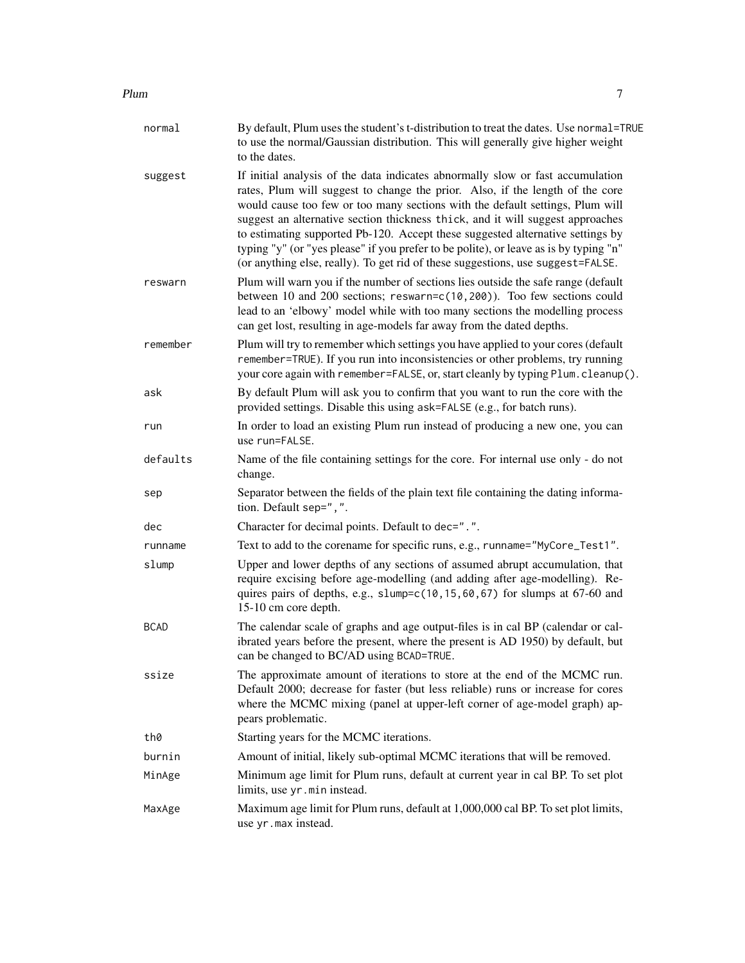#### Plum 2008 and 2008 and 2008 and 2008 and 2008 and 2008 and 2008 and 2008 and 2008 and 2008 and 2008 and 2008 and 2008 and 2008 and 2008 and 2008 and 2008 and 2008 and 2008 and 2008 and 2008 and 2008 and 2008 and 2008 and 2

| normal      | By default, Plum uses the student's t-distribution to treat the dates. Use normal=TRUE<br>to use the normal/Gaussian distribution. This will generally give higher weight<br>to the dates.                                                                                                                                                                                                                                                                                                                                                                                                       |
|-------------|--------------------------------------------------------------------------------------------------------------------------------------------------------------------------------------------------------------------------------------------------------------------------------------------------------------------------------------------------------------------------------------------------------------------------------------------------------------------------------------------------------------------------------------------------------------------------------------------------|
| suggest     | If initial analysis of the data indicates abnormally slow or fast accumulation<br>rates, Plum will suggest to change the prior. Also, if the length of the core<br>would cause too few or too many sections with the default settings, Plum will<br>suggest an alternative section thickness thick, and it will suggest approaches<br>to estimating supported Pb-120. Accept these suggested alternative settings by<br>typing "y" (or "yes please" if you prefer to be polite), or leave as is by typing "n"<br>(or anything else, really). To get rid of these suggestions, use suggest=FALSE. |
| reswarn     | Plum will warn you if the number of sections lies outside the safe range (default<br>between 10 and 200 sections; reswarn=c(10,200)). Too few sections could<br>lead to an 'elbowy' model while with too many sections the modelling process<br>can get lost, resulting in age-models far away from the dated depths.                                                                                                                                                                                                                                                                            |
| remember    | Plum will try to remember which settings you have applied to your cores (default<br>remember=TRUE). If you run into inconsistencies or other problems, try running<br>your core again with remember=FALSE, or, start cleanly by typing Plum. cleanup().                                                                                                                                                                                                                                                                                                                                          |
| ask         | By default Plum will ask you to confirm that you want to run the core with the<br>provided settings. Disable this using ask=FALSE (e.g., for batch runs).                                                                                                                                                                                                                                                                                                                                                                                                                                        |
| run         | In order to load an existing Plum run instead of producing a new one, you can<br>use run=FALSE.                                                                                                                                                                                                                                                                                                                                                                                                                                                                                                  |
| defaults    | Name of the file containing settings for the core. For internal use only - do not<br>change.                                                                                                                                                                                                                                                                                                                                                                                                                                                                                                     |
| sep         | Separator between the fields of the plain text file containing the dating informa-<br>tion. Default sep=",".                                                                                                                                                                                                                                                                                                                                                                                                                                                                                     |
| dec         | Character for decimal points. Default to dec=".".                                                                                                                                                                                                                                                                                                                                                                                                                                                                                                                                                |
| runname     | Text to add to the corename for specific runs, e.g., runname="MyCore_Test1".                                                                                                                                                                                                                                                                                                                                                                                                                                                                                                                     |
| slump       | Upper and lower depths of any sections of assumed abrupt accumulation, that<br>require excising before age-modelling (and adding after age-modelling). Re-<br>quires pairs of depths, e.g., slump=c(10,15,60,67) for slumps at 67-60 and<br>15-10 cm core depth.                                                                                                                                                                                                                                                                                                                                 |
| <b>BCAD</b> | The calendar scale of graphs and age output-files is in cal BP (calendar or cal-<br>ibrated years before the present, where the present is AD 1950) by default, but<br>can be changed to BC/AD using BCAD=TRUE.                                                                                                                                                                                                                                                                                                                                                                                  |
| ssize       | The approximate amount of iterations to store at the end of the MCMC run.<br>Default 2000; decrease for faster (but less reliable) runs or increase for cores<br>where the MCMC mixing (panel at upper-left corner of age-model graph) ap-<br>pears problematic.                                                                                                                                                                                                                                                                                                                                 |
| th0         | Starting years for the MCMC iterations.                                                                                                                                                                                                                                                                                                                                                                                                                                                                                                                                                          |
| burnin      | Amount of initial, likely sub-optimal MCMC iterations that will be removed.                                                                                                                                                                                                                                                                                                                                                                                                                                                                                                                      |
| MinAge      | Minimum age limit for Plum runs, default at current year in cal BP. To set plot<br>limits, use yr.min instead.                                                                                                                                                                                                                                                                                                                                                                                                                                                                                   |
| MaxAge      | Maximum age limit for Plum runs, default at 1,000,000 cal BP. To set plot limits,<br>use yr.max instead.                                                                                                                                                                                                                                                                                                                                                                                                                                                                                         |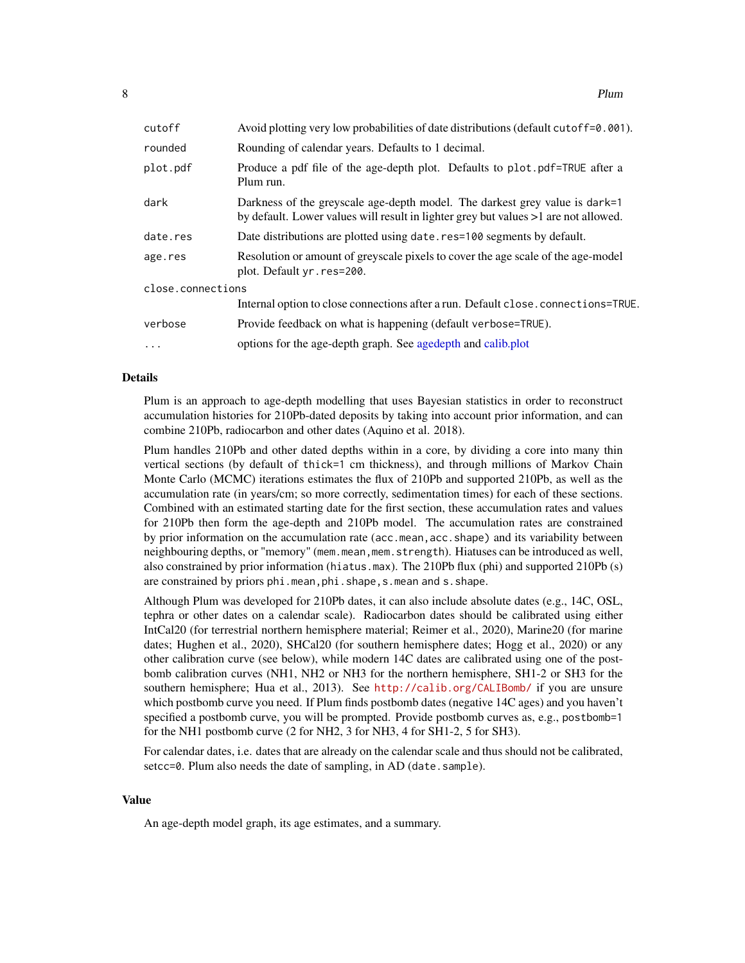<span id="page-7-0"></span>

| cutoff            | Avoid plotting very low probabilities of date distributions (default cutoff=0.001).                                                                                |
|-------------------|--------------------------------------------------------------------------------------------------------------------------------------------------------------------|
| rounded           | Rounding of calendar years. Defaults to 1 decimal.                                                                                                                 |
| plot.pdf          | Produce a pdf file of the age-depth plot. Defaults to plot.pdf=TRUE after a<br>Plum run.                                                                           |
| dark              | Darkness of the greyscale age-depth model. The darkest grey value is dark=1<br>by default. Lower values will result in lighter grey but values >1 are not allowed. |
| date.res          | Date distributions are plotted using date.res=100 segments by default.                                                                                             |
| age.res           | Resolution or amount of greyscale pixels to cover the age scale of the age-model<br>plot. Default yr. res=200.                                                     |
| close.connections |                                                                                                                                                                    |
|                   | Internal option to close connections after a run. Default close.connections=TRUE.                                                                                  |
| verbose           | Provide feedback on what is happening (default verbose=TRUE).                                                                                                      |
| $\ddots$          | options for the age-depth graph. See agedepth and calib.plot                                                                                                       |

#### Details

Plum is an approach to age-depth modelling that uses Bayesian statistics in order to reconstruct accumulation histories for 210Pb-dated deposits by taking into account prior information, and can combine 210Pb, radiocarbon and other dates (Aquino et al. 2018).

Plum handles 210Pb and other dated depths within in a core, by dividing a core into many thin vertical sections (by default of thick=1 cm thickness), and through millions of Markov Chain Monte Carlo (MCMC) iterations estimates the flux of 210Pb and supported 210Pb, as well as the accumulation rate (in years/cm; so more correctly, sedimentation times) for each of these sections. Combined with an estimated starting date for the first section, these accumulation rates and values for 210Pb then form the age-depth and 210Pb model. The accumulation rates are constrained by prior information on the accumulation rate (acc.mean,acc.shape) and its variability between neighbouring depths, or "memory" (mem.mean,mem.strength). Hiatuses can be introduced as well, also constrained by prior information (hiatus.max). The 210Pb flux (phi) and supported 210Pb (s) are constrained by priors phi.mean, phi.shape, s.mean and s.shape.

Although Plum was developed for 210Pb dates, it can also include absolute dates (e.g., 14C, OSL, tephra or other dates on a calendar scale). Radiocarbon dates should be calibrated using either IntCal20 (for terrestrial northern hemisphere material; Reimer et al., 2020), Marine20 (for marine dates; Hughen et al., 2020), SHCal20 (for southern hemisphere dates; Hogg et al., 2020) or any other calibration curve (see below), while modern 14C dates are calibrated using one of the postbomb calibration curves (NH1, NH2 or NH3 for the northern hemisphere, SH1-2 or SH3 for the southern hemisphere; Hua et al., 2013). See <http://calib.org/CALIBomb/> if you are unsure which postbomb curve you need. If Plum finds postbomb dates (negative 14C ages) and you haven't specified a postbomb curve, you will be prompted. Provide postbomb curves as, e.g., postbomb=1 for the NH1 postbomb curve (2 for NH2, 3 for NH3, 4 for SH1-2, 5 for SH3).

For calendar dates, i.e. dates that are already on the calendar scale and thus should not be calibrated, setcc=0. Plum also needs the date of sampling, in AD (date. sample).

#### Value

An age-depth model graph, its age estimates, and a summary.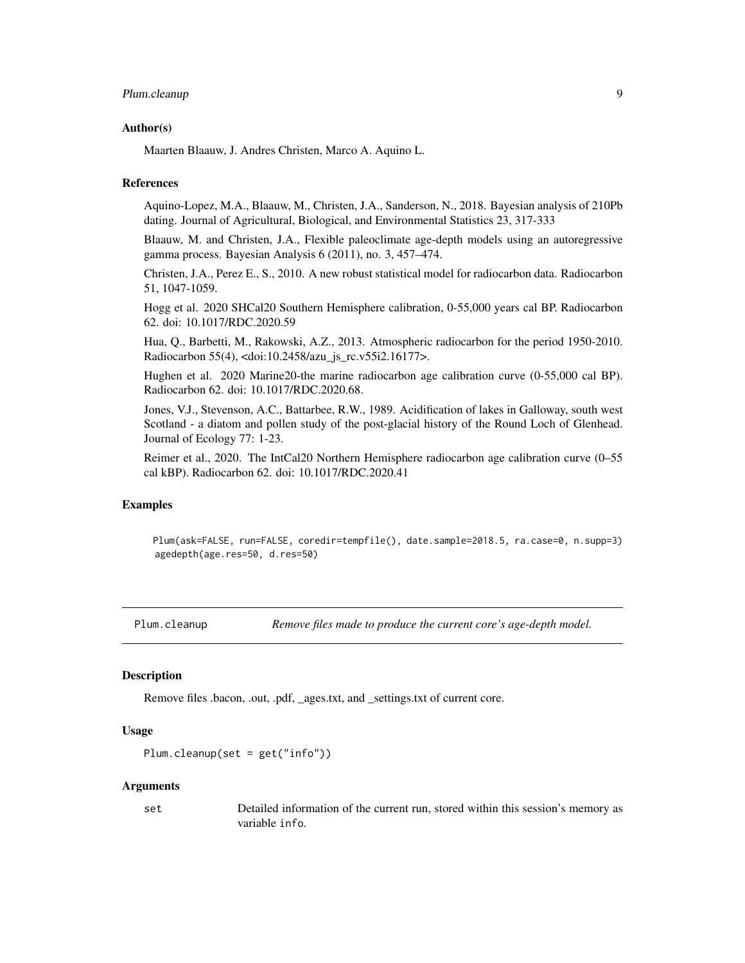#### <span id="page-8-0"></span>Plum.cleanup 9

#### Author(s)

Maarten Blaauw, J. Andres Christen, Marco A. Aquino L.

#### References

Aquino-Lopez, M.A., Blaauw, M., Christen, J.A., Sanderson, N., 2018. Bayesian analysis of 210Pb dating. Journal of Agricultural, Biological, and Environmental Statistics 23, 317-333

Blaauw, M. and Christen, J.A., Flexible paleoclimate age-depth models using an autoregressive gamma process. Bayesian Analysis 6 (2011), no. 3, 457–474.

Christen, J.A., Perez E., S., 2010. A new robust statistical model for radiocarbon data. Radiocarbon 51, 1047-1059.

Hogg et al. 2020 SHCal20 Southern Hemisphere calibration, 0-55,000 years cal BP. Radiocarbon 62. doi: 10.1017/RDC.2020.59

Hua, Q., Barbetti, M., Rakowski, A.Z., 2013. Atmospheric radiocarbon for the period 1950-2010. Radiocarbon 55(4), <doi:10.2458/azu\_js\_rc.v55i2.16177>.

Hughen et al. 2020 Marine20-the marine radiocarbon age calibration curve (0-55,000 cal BP). Radiocarbon 62. doi: 10.1017/RDC.2020.68.

Jones, V.J., Stevenson, A.C., Battarbee, R.W., 1989. Acidification of lakes in Galloway, south west Scotland - a diatom and pollen study of the post-glacial history of the Round Loch of Glenhead. Journal of Ecology 77: 1-23.

Reimer et al., 2020. The IntCal20 Northern Hemisphere radiocarbon age calibration curve (0–55 cal kBP). Radiocarbon 62. doi: 10.1017/RDC.2020.41

#### Examples

Plum(ask=FALSE, run=FALSE, coredir=tempfile(), date.sample=2018.5, ra.case=0, n.supp=3) agedepth(age.res=50, d.res=50)

Plum.cleanup *Remove files made to produce the current core's age-depth model.*

#### Description

Remove files .bacon, .out, .pdf, \_ages.txt, and \_settings.txt of current core.

#### Usage

```
Plum.cleanup(set = get("info"))
```
#### Arguments

set Detailed information of the current run, stored within this session's memory as variable info.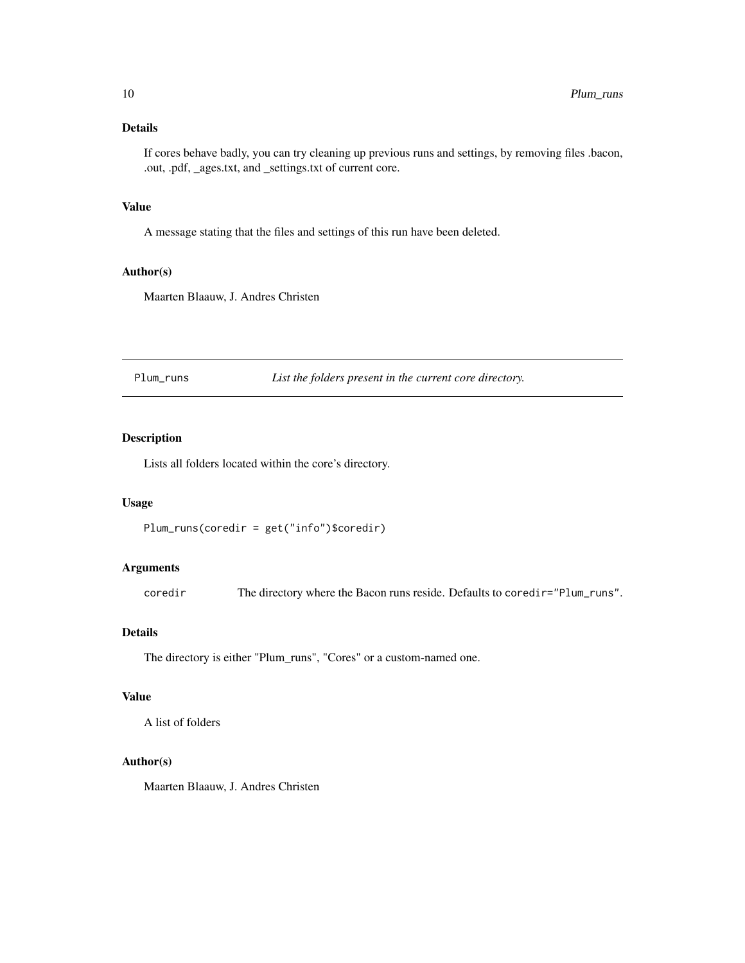#### <span id="page-9-0"></span>Details

If cores behave badly, you can try cleaning up previous runs and settings, by removing files .bacon, .out, .pdf, \_ages.txt, and \_settings.txt of current core.

#### Value

A message stating that the files and settings of this run have been deleted.

#### Author(s)

Maarten Blaauw, J. Andres Christen

Plum\_runs *List the folders present in the current core directory.*

#### Description

Lists all folders located within the core's directory.

#### Usage

```
Plum_runs(coredir = get("info")$coredir)
```
#### Arguments

coredir The directory where the Bacon runs reside. Defaults to coredir="Plum\_runs".

#### Details

The directory is either "Plum\_runs", "Cores" or a custom-named one.

#### Value

A list of folders

#### Author(s)

Maarten Blaauw, J. Andres Christen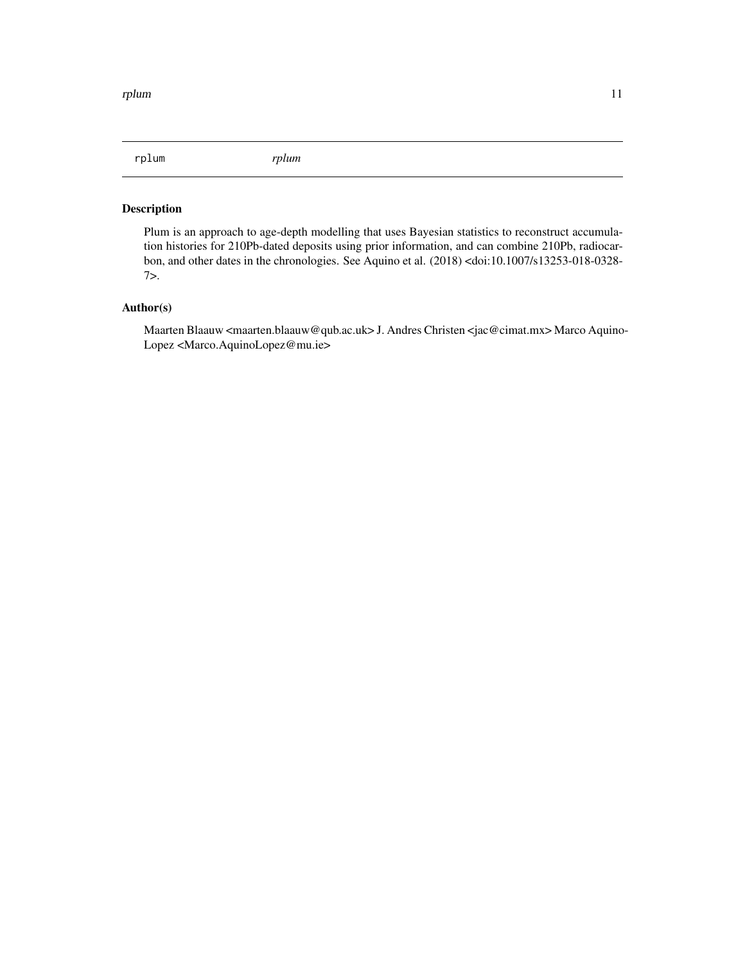<span id="page-10-0"></span>rplum *rplum*

#### Description

Plum is an approach to age-depth modelling that uses Bayesian statistics to reconstruct accumulation histories for 210Pb-dated deposits using prior information, and can combine 210Pb, radiocarbon, and other dates in the chronologies. See Aquino et al. (2018) <doi:10.1007/s13253-018-0328- 7>.

#### Author(s)

Maarten Blaauw <maarten.blaauw@qub.ac.uk> J. Andres Christen <jac@cimat.mx> Marco Aquino-Lopez <Marco.AquinoLopez@mu.ie>